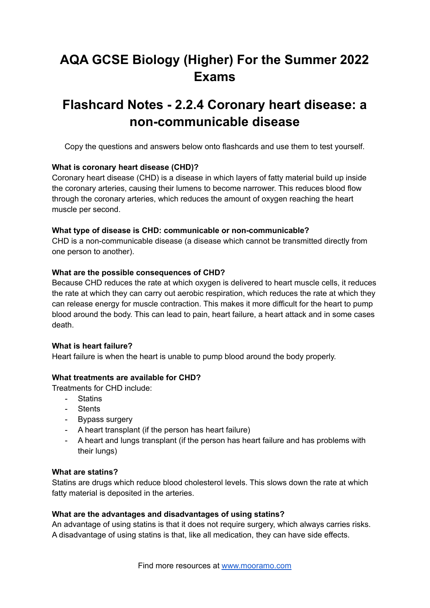# **AQA GCSE Biology (Higher) For the Summer 2022 Exams**

# **Flashcard Notes - 2.2.4 Coronary heart disease: a non-communicable disease**

Copy the questions and answers below onto flashcards and use them to test yourself.

## **What is coronary heart disease (CHD)?**

Coronary heart disease (CHD) is a disease in which layers of fatty material build up inside the coronary arteries, causing their lumens to become narrower. This reduces blood flow through the coronary arteries, which reduces the amount of oxygen reaching the heart muscle per second.

### **What type of disease is CHD: communicable or non-communicable?**

CHD is a non-communicable disease (a disease which cannot be transmitted directly from one person to another).

## **What are the possible consequences of CHD?**

Because CHD reduces the rate at which oxygen is delivered to heart muscle cells, it reduces the rate at which they can carry out aerobic respiration, which reduces the rate at which they can release energy for muscle contraction. This makes it more difficult for the heart to pump blood around the body. This can lead to pain, heart failure, a heart attack and in some cases death.

### **What is heart failure?**

Heart failure is when the heart is unable to pump blood around the body properly.

### **What treatments are available for CHD?**

Treatments for CHD include:

- Statins
- Stents
- Bypass surgery
- A heart transplant (if the person has heart failure)
- A heart and lungs transplant (if the person has heart failure and has problems with their lungs)

### **What are statins?**

Statins are drugs which reduce blood cholesterol levels. This slows down the rate at which fatty material is deposited in the arteries.

### **What are the advantages and disadvantages of using statins?**

An advantage of using statins is that it does not require surgery, which always carries risks. A disadvantage of using statins is that, like all medication, they can have side effects.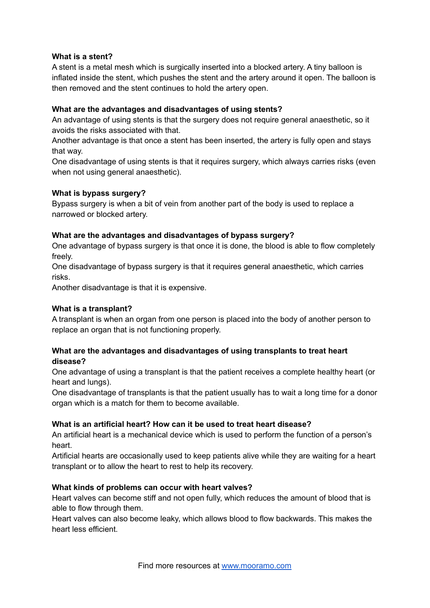## **What is a stent?**

A stent is a metal mesh which is surgically inserted into a blocked artery. A tiny balloon is inflated inside the stent, which pushes the stent and the artery around it open. The balloon is then removed and the stent continues to hold the artery open.

# **What are the advantages and disadvantages of using stents?**

An advantage of using stents is that the surgery does not require general anaesthetic, so it avoids the risks associated with that.

Another advantage is that once a stent has been inserted, the artery is fully open and stays that way.

One disadvantage of using stents is that it requires surgery, which always carries risks (even when not using general anaesthetic).

## **What is bypass surgery?**

Bypass surgery is when a bit of vein from another part of the body is used to replace a narrowed or blocked artery.

## **What are the advantages and disadvantages of bypass surgery?**

One advantage of bypass surgery is that once it is done, the blood is able to flow completely freely.

One disadvantage of bypass surgery is that it requires general anaesthetic, which carries risks.

Another disadvantage is that it is expensive.

## **What is a transplant?**

A transplant is when an organ from one person is placed into the body of another person to replace an organ that is not functioning properly.

# **What are the advantages and disadvantages of using transplants to treat heart disease?**

One advantage of using a transplant is that the patient receives a complete healthy heart (or heart and lungs).

One disadvantage of transplants is that the patient usually has to wait a long time for a donor organ which is a match for them to become available.

### **What is an artificial heart? How can it be used to treat heart disease?**

An artificial heart is a mechanical device which is used to perform the function of a person's heart.

Artificial hearts are occasionally used to keep patients alive while they are waiting for a heart transplant or to allow the heart to rest to help its recovery.

# **What kinds of problems can occur with heart valves?**

Heart valves can become stiff and not open fully, which reduces the amount of blood that is able to flow through them.

Heart valves can also become leaky, which allows blood to flow backwards. This makes the heart less efficient.